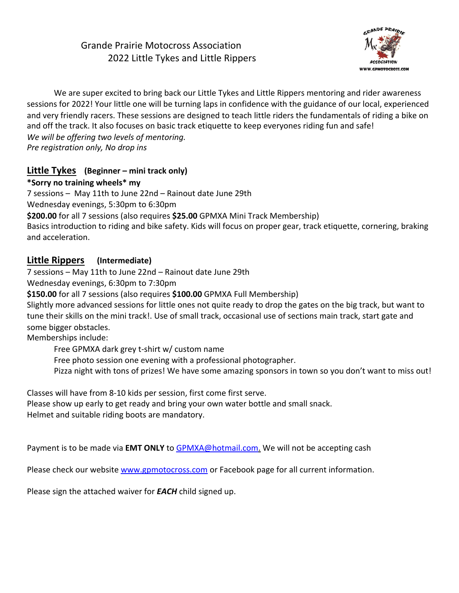# Grande Prairie Motocross Association 2022 Little Tykes and Little Rippers



We are super excited to bring back our Little Tykes and Little Rippers mentoring and rider awareness sessions for 2022! Your little one will be turning laps in confidence with the guidance of our local, experienced and very friendly racers. These sessions are designed to teach little riders the fundamentals of riding a bike on and off the track. It also focuses on basic track etiquette to keep everyones riding fun and safe! *We will be offering two levels of mentoring.* **Pre registration only, No drop ins** 

### **Little Tykes** (Beginner – mini track only)

### **\*Sorry no training wheels\* my**

7 sessions - May 11th to June 22nd - Rainout date June 29th

Wednesday evenings, 5:30pm to 6:30pm

**\$200.00** for all 7 sessions (also requires **\$25.00** GPMXA Mini Track Membership)

Basics introduction to riding and bike safety. Kids will focus on proper gear, track etiquette, cornering, braking and acceleration. 

## **Little Rippers** (Intermediate)

7 sessions – May 11th to June 22nd – Rainout date June 29th

Wednesday evenings, 6:30pm to 7:30pm

**\$150.00** for all 7 sessions (also requires **\$100.00** GPMXA Full Membership)

Slightly more advanced sessions for little ones not quite ready to drop the gates on the big track, but want to tune their skills on the mini track!. Use of small track, occasional use of sections main track, start gate and some bigger obstacles.

Memberships include:

Free GPMXA dark grey t-shirt w/ custom name

Free photo session one evening with a professional photographer.

Pizza night with tons of prizes! We have some amazing sponsors in town so you don't want to miss out!

Classes will have from 8-10 kids per session, first come first serve.

Please show up early to get ready and bring your own water bottle and small snack. Helmet and suitable riding boots are mandatory.

Payment is to be made via **EMT ONLY** to **GPMXA@hotmail.com.** We will not be accepting cash

Please check our website www.gpmotocross.com or Facebook page for all current information.

Please sign the attached waiver for **EACH** child signed up.